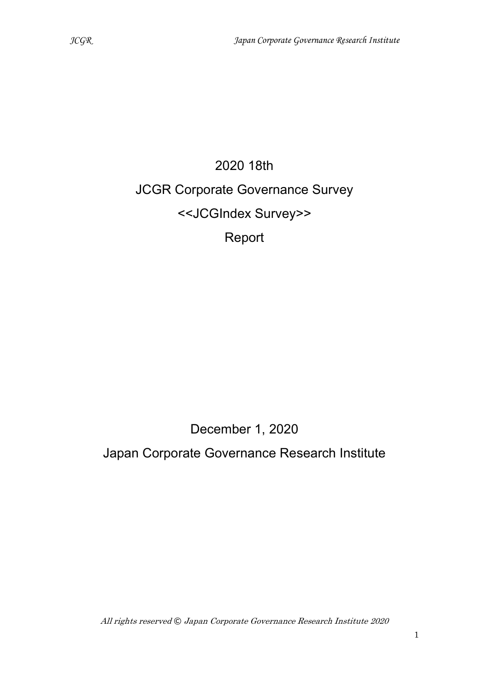# 2020 18th JCGR Corporate Governance Survey <<JCGIndex Survey>> Report

# December 1, 2020

# Japan Corporate Governance Research Institute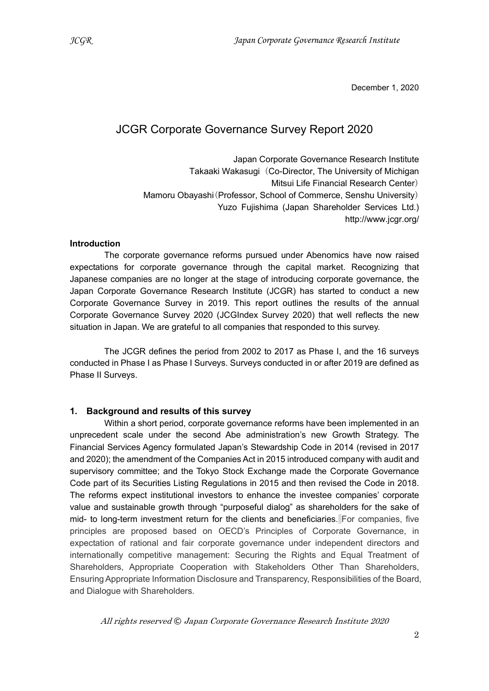December 1, 2020

### JCGR Corporate Governance Survey Report 2020

Japan Corporate Governance Research Institute Takaaki Wakasugi (Co-Director, The University of Michigan Mitsui Life Financial Research Center) Mamoru Obayashi(Professor, School of Commerce, Senshu University) Yuzo Fujishima (Japan Shareholder Services Ltd.) http://www.jcgr.org/

#### **Introduction**

The corporate governance reforms pursued under Abenomics have now raised expectations for corporate governance through the capital market. Recognizing that Japanese companies are no longer at the stage of introducing corporate governance, the Japan Corporate Governance Research Institute (JCGR) has started to conduct a new Corporate Governance Survey in 2019. This report outlines the results of the annual Corporate Governance Survey 2020 (JCGIndex Survey 2020) that well reflects the new situation in Japan. We are grateful to all companies that responded to this survey.

The JCGR defines the period from 2002 to 2017 as Phase I, and the 16 surveys conducted in Phase I as Phase I Surveys. Surveys conducted in or after 2019 are defined as Phase II Surveys.

#### 1. Background and results of this survey

Within a short period, corporate governance reforms have been implemented in an unprecedent scale under the second Abe administration's new Growth Strategy. The Financial Services Agency formulated Japan's Stewardship Code in 2014 (revised in 2017 and 2020); the amendment of the Companies Act in 2015 introduced company with audit and supervisory committee; and the Tokyo Stock Exchange made the Corporate Governance Code part of its Securities Listing Regulations in 2015 and then revised the Code in 2018. The reforms expect institutional investors to enhance the investee companies' corporate value and sustainable growth through "purposeful dialog" as shareholders for the sake of mid- to long-term investment return for the clients and beneficiaries. For companies, five principles are proposed based on OECD's Principles of Corporate Governance, in expectation of rational and fair corporate governance under independent directors and internationally competitive management: Securing the Rights and Equal Treatment of Shareholders, Appropriate Cooperation with Stakeholders Other Than Shareholders, Ensuring Appropriate Information Disclosure and Transparency, Responsibilities of the Board, and Dialogue with Shareholders.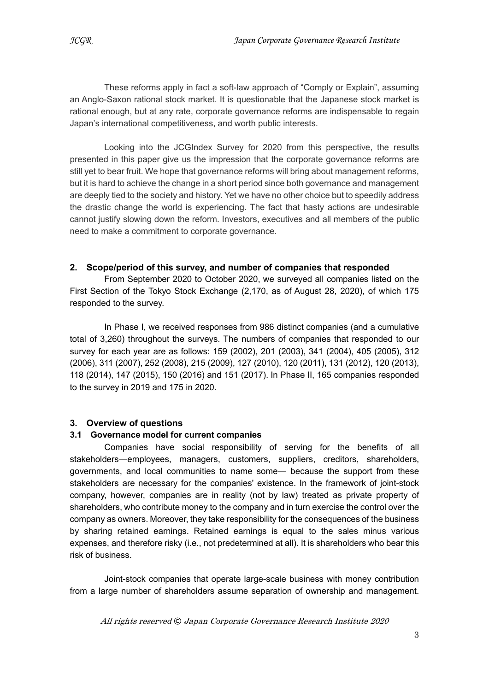These reforms apply in fact a soft-law approach of "Comply or Explain", assuming an Anglo-Saxon rational stock market. It is questionable that the Japanese stock market is rational enough, but at any rate, corporate governance reforms are indispensable to regain Japan's international competitiveness, and worth public interests.

Looking into the JCGIndex Survey for 2020 from this perspective, the results presented in this paper give us the impression that the corporate governance reforms are still yet to bear fruit. We hope that governance reforms will bring about management reforms, but it is hard to achieve the change in a short period since both governance and management are deeply tied to the society and history. Yet we have no other choice but to speedily address the drastic change the world is experiencing. The fact that hasty actions are undesirable cannot justify slowing down the reform. Investors, executives and all members of the public need to make a commitment to corporate governance.

#### 2. Scope/period of this survey, and number of companies that responded

From September 2020 to October 2020, we surveyed all companies listed on the First Section of the Tokyo Stock Exchange (2,170, as of August 28, 2020), of which 175 responded to the survey.

In Phase I, we received responses from 986 distinct companies (and a cumulative total of 3,260) throughout the surveys. The numbers of companies that responded to our survey for each year are as follows: 159 (2002), 201 (2003), 341 (2004), 405 (2005), 312 (2006), 311 (2007), 252 (2008), 215 (2009), 127 (2010), 120 (2011), 131 (2012), 120 (2013), 118 (2014), 147 (2015), 150 (2016) and 151 (2017). In Phase II, 165 companies responded to the survey in 2019 and 175 in 2020.

#### 3. Overview of questions

#### 3.1 Governance model for current companies

Companies have social responsibility of serving for the benefits of all stakeholders―employees, managers, customers, suppliers, creditors, shareholders, governments, and local communities to name some― because the support from these stakeholders are necessary for the companies' existence. In the framework of joint-stock company, however, companies are in reality (not by law) treated as private property of shareholders, who contribute money to the company and in turn exercise the control over the company as owners. Moreover, they take responsibility for the consequences of the business by sharing retained earnings. Retained earnings is equal to the sales minus various expenses, and therefore risky (i.e., not predetermined at all). It is shareholders who bear this risk of business.

Joint-stock companies that operate large-scale business with money contribution from a large number of shareholders assume separation of ownership and management.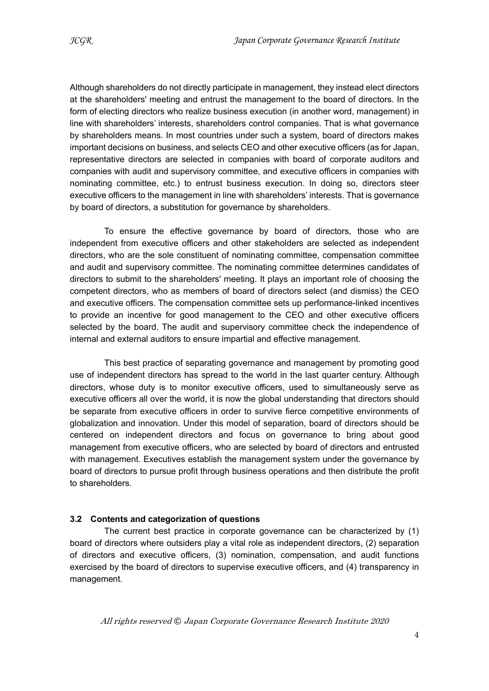Although shareholders do not directly participate in management, they instead elect directors at the shareholders' meeting and entrust the management to the board of directors. In the form of electing directors who realize business execution (in another word, management) in line with shareholders' interests, shareholders control companies. That is what governance by shareholders means. In most countries under such a system, board of directors makes important decisions on business, and selects CEO and other executive officers (as for Japan, representative directors are selected in companies with board of corporate auditors and companies with audit and supervisory committee, and executive officers in companies with nominating committee, etc.) to entrust business execution. In doing so, directors steer executive officers to the management in line with shareholders' interests. That is governance by board of directors, a substitution for governance by shareholders.

To ensure the effective governance by board of directors, those who are independent from executive officers and other stakeholders are selected as independent directors, who are the sole constituent of nominating committee, compensation committee and audit and supervisory committee. The nominating committee determines candidates of directors to submit to the shareholders' meeting. It plays an important role of choosing the competent directors, who as members of board of directors select (and dismiss) the CEO and executive officers. The compensation committee sets up performance-linked incentives to provide an incentive for good management to the CEO and other executive officers selected by the board. The audit and supervisory committee check the independence of internal and external auditors to ensure impartial and effective management.

This best practice of separating governance and management by promoting good use of independent directors has spread to the world in the last quarter century. Although directors, whose duty is to monitor executive officers, used to simultaneously serve as executive officers all over the world, it is now the global understanding that directors should be separate from executive officers in order to survive fierce competitive environments of globalization and innovation. Under this model of separation, board of directors should be centered on independent directors and focus on governance to bring about good management from executive officers, who are selected by board of directors and entrusted with management. Executives establish the management system under the governance by board of directors to pursue profit through business operations and then distribute the profit to shareholders.

#### 3.2 Contents and categorization of questions

The current best practice in corporate governance can be characterized by (1) board of directors where outsiders play a vital role as independent directors, (2) separation of directors and executive officers, (3) nomination, compensation, and audit functions exercised by the board of directors to supervise executive officers, and (4) transparency in management.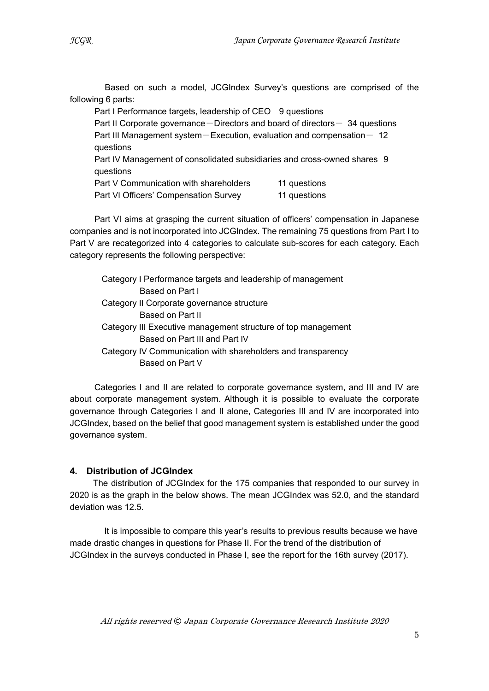Based on such a model, JCGIndex Survey's questions are comprised of the following 6 parts:

Part I Performance targets, leadership of CEO 9 questions Part II Corporate governance  $-D$  irectors and board of directors  $-$  34 questions Part III Management system-Execution, evaluation and compensation-  $12$ questions Part IV Management of consolidated subsidiaries and cross-owned shares 9 questions Part V Communication with shareholders 11 questions Part VI Officers' Compensation Survey 11 questions

Part VI aims at grasping the current situation of officers' compensation in Japanese companies and is not incorporated into JCGIndex. The remaining 75 questions from Part I to Part V are recategorized into 4 categories to calculate sub-scores for each category. Each category represents the following perspective:

Category I Performance targets and leadership of management Based on Part I Category II Corporate governance structure Based on Part II Category III Executive management structure of top management Based on Part III and Part IV Category IV Communication with shareholders and transparency Based on Part V

Categories I and II are related to corporate governance system, and III and IV are about corporate management system. Although it is possible to evaluate the corporate governance through Categories I and II alone, Categories III and IV are incorporated into JCGIndex, based on the belief that good management system is established under the good governance system.

#### 4. Distribution of JCGIndex

The distribution of JCGIndex for the 175 companies that responded to our survey in 2020 is as the graph in the below shows. The mean JCGIndex was 52.0, and the standard deviation was 12.5.

It is impossible to compare this year's results to previous results because we have made drastic changes in questions for Phase II. For the trend of the distribution of JCGIndex in the surveys conducted in Phase I, see the report for the 16th survey (2017).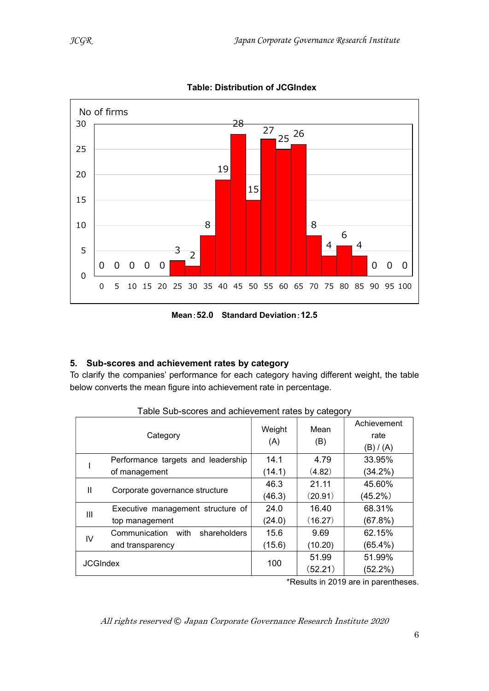

Table: Distribution of JCGIndex

Mean:52.0 Standard Deviation:12.5

#### 5. Sub-scores and achievement rates by category

To clarify the companies' performance for each category having different weight, the table below converts the mean figure into achievement rate in percentage.

| Weight<br>Mean<br>Category<br>rate<br>(A)<br>(B)<br>(B) / (A)<br>Performance targets and leadership<br>14.1<br>4.79<br>33.95%<br>(4.82)<br>of management<br>(14.1)<br>$(34.2\%)$<br>21.11<br>46.3<br>45.60%<br>Ш<br>Corporate governance structure<br>(20.91)<br>(45.2%)<br>(46.3)<br>68.31%<br>Executive management structure of<br>24.0<br>16.40 | I able oub-scores and achievement rates by category |  |  |  |             |  |
|----------------------------------------------------------------------------------------------------------------------------------------------------------------------------------------------------------------------------------------------------------------------------------------------------------------------------------------------------|-----------------------------------------------------|--|--|--|-------------|--|
|                                                                                                                                                                                                                                                                                                                                                    |                                                     |  |  |  | Achievement |  |
|                                                                                                                                                                                                                                                                                                                                                    |                                                     |  |  |  |             |  |
|                                                                                                                                                                                                                                                                                                                                                    |                                                     |  |  |  |             |  |
|                                                                                                                                                                                                                                                                                                                                                    |                                                     |  |  |  |             |  |
|                                                                                                                                                                                                                                                                                                                                                    |                                                     |  |  |  |             |  |
|                                                                                                                                                                                                                                                                                                                                                    |                                                     |  |  |  |             |  |
|                                                                                                                                                                                                                                                                                                                                                    | Ш                                                   |  |  |  |             |  |
| (16.27)<br>(24.0)<br>(67.8%)<br>top management                                                                                                                                                                                                                                                                                                     |                                                     |  |  |  |             |  |
| 62.15%<br>15.6<br>Communication<br>9.69<br>with<br>shareholders<br>IV                                                                                                                                                                                                                                                                              |                                                     |  |  |  |             |  |
| $(65.4\%)$<br>(15.6)<br>(10.20)<br>and transparency                                                                                                                                                                                                                                                                                                |                                                     |  |  |  |             |  |
| 51.99%<br>51.99<br>100                                                                                                                                                                                                                                                                                                                             | <b>JCGIndex</b>                                     |  |  |  |             |  |
| (52.21)<br>$(52.2\%)$                                                                                                                                                                                                                                                                                                                              |                                                     |  |  |  |             |  |

Table Sub-scores and achievement rates by category

\*Results in 2019 are in parentheses.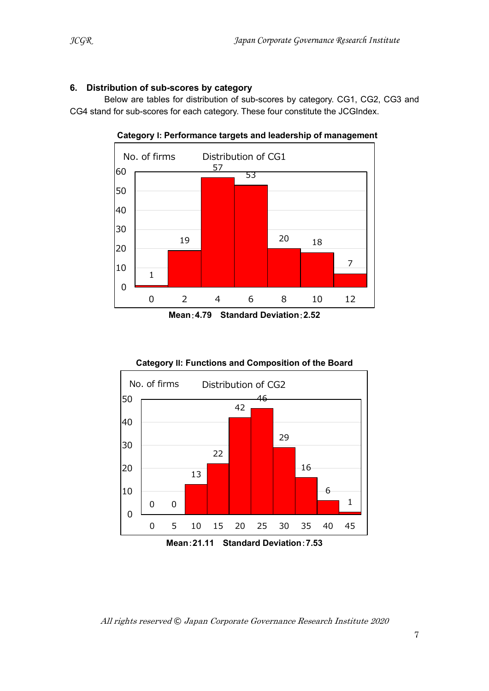#### 6. Distribution of sub-scores by category

Below are tables for distribution of sub-scores by category. CG1, CG2, CG3 and CG4 stand for sub-scores for each category. These four constitute the JCGIndex.



Category I: Performance targets and leadership of management

Mean:4.79 Standard Deviation:2.52



Mean:21.11 Standard Deviation:7.53

**| | | | | | |** |

 $6 \quad \blacksquare$ 

 $1 \parallel$ 

J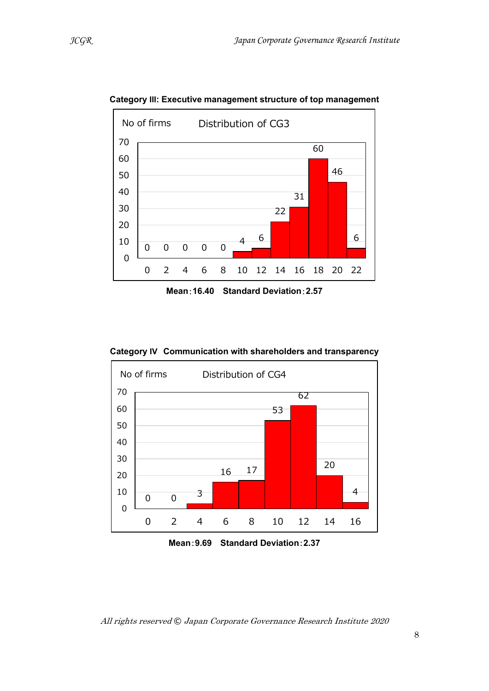

Category III: Executive management structure of top management

Mean:16.40 Standard Deviation:2.57

Category IV Communication with shareholders and transparency



Mean:9.69 Standard Deviation:2.37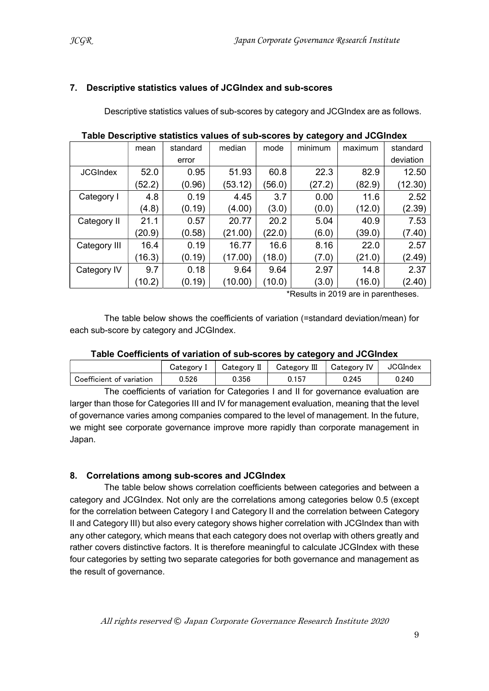#### 7. Descriptive statistics values of JCGIndex and sub-scores

Descriptive statistics values of sub-scores by category and JCGIndex are as follows.

|                 |        |          |         |        | .       |         |           |
|-----------------|--------|----------|---------|--------|---------|---------|-----------|
|                 | mean   | standard | median  | mode   | minimum | maximum | standard  |
|                 |        | error    |         |        |         |         | deviation |
| <b>JCGIndex</b> | 52.0   | 0.95     | 51.93   | 60.8   | 22.3    | 82.9    | 12.50     |
|                 | (52.2) | (0.96)   | (53.12) | 56.0)  | (27.2)  | (82.9)  | (12.30)   |
| Category I      | 4.8    | 0.19     | 4.45    | 3.7    | 0.00    | 11.6    | 2.52      |
|                 | (4.8)  | (0.19)   | (4.00)  | (3.0)  | (0.0)   | (12.0)  | (2.39)    |
| Category II     | 21.1   | 0.57     | 20.77   | 20.2   | 5.04    | 40.9    | 7.53      |
|                 | (20.9) | (0.58)   | (21.00) | (22.0) | (6.0)   | (39.0)  | (7.40)    |
| Category III    | 16.4   | 0.19     | 16.77   | 16.6   | 8.16    | 22.0    | 2.57      |
|                 | (16.3) | (0.19)   | (17.00) | (18.0) | (7.0)   | (21.0)  | (2.49)    |
| Category IV     | 9.7    | 0.18     | 9.64    | 9.64   | 2.97    | 14.8    | 2.37      |
|                 | (10.2) | (0.19)   | (10.00) | 10.0)  | (3.0)   | (16.0)  | (2.40)    |

Table Descriptive statistics values of sub-scores by category and JCGIndex

\*Results in 2019 are in parentheses.

The table below shows the coefficients of variation (=standard deviation/mean) for each sub-score by category and JCGIndex.

#### Table Coefficients of variation of sub-scores by category and JCGIndex

|                          | Category I | Category II | Category III | Category IV | <b>JCGIndex</b> |
|--------------------------|------------|-------------|--------------|-------------|-----------------|
| Coefficient of variation | 0.526      | 0.356       | 0.157        | 0.245       | 0.240           |

The coefficients of variation for Categories I and II for governance evaluation are larger than those for Categories III and IV for management evaluation, meaning that the level of governance varies among companies compared to the level of management. In the future, we might see corporate governance improve more rapidly than corporate management in Japan.

#### 8. Correlations among sub-scores and JCGIndex

The table below shows correlation coefficients between categories and between a category and JCGIndex. Not only are the correlations among categories below 0.5 (except for the correlation between Category I and Category II and the correlation between Category II and Category III) but also every category shows higher correlation with JCGIndex than with any other category, which means that each category does not overlap with others greatly and rather covers distinctive factors. It is therefore meaningful to calculate JCGIndex with these four categories by setting two separate categories for both governance and management as the result of governance.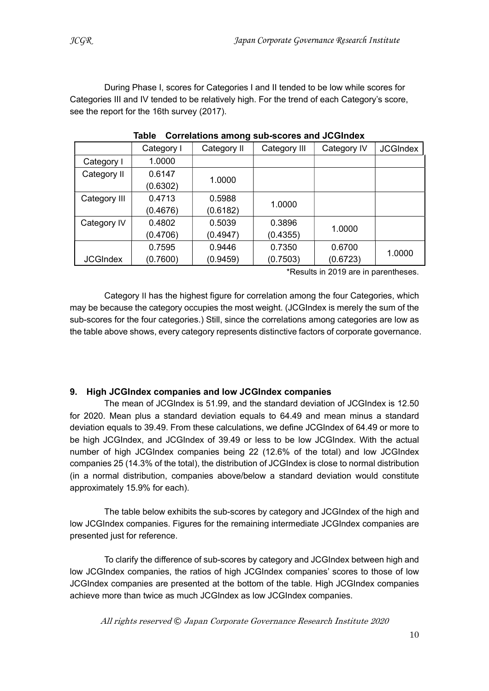During Phase I, scores for Categories I and II tended to be low while scores for Categories III and IV tended to be relatively high. For the trend of each Category's score, see the report for the 16th survey (2017).

|                 | Category I | Category II | Category III | Category IV | <b>JCGIndex</b> |
|-----------------|------------|-------------|--------------|-------------|-----------------|
| Category I      | 1.0000     |             |              |             |                 |
| Category II     | 0.6147     | 1.0000      |              |             |                 |
|                 | (0.6302)   |             |              |             |                 |
| Category III    | 0.4713     | 0.5988      | 1.0000       |             |                 |
|                 | (0.4676)   | (0.6182)    |              |             |                 |
| Category IV     | 0.4802     | 0.5039      | 0.3896       | 1.0000      |                 |
|                 | (0.4706)   | (0.4947)    | (0.4355)     |             |                 |
|                 | 0.7595     | 0.9446      | 0.7350       | 0.6700      |                 |
| <b>JCGIndex</b> | (0.7600)   | (0.9459)    | (0.7503)     | (0.6723)    | 1.0000          |

Table Correlations among sub-scores and JCGIndex

\*Results in 2019 are in parentheses.

Category II has the highest figure for correlation among the four Categories, which may be because the category occupies the most weight. (JCGIndex is merely the sum of the sub-scores for the four categories.) Still, since the correlations among categories are low as the table above shows, every category represents distinctive factors of corporate governance.

#### 9. High JCGIndex companies and low JCGIndex companies

The mean of JCGIndex is 51.99, and the standard deviation of JCGIndex is 12.50 for 2020. Mean plus a standard deviation equals to 64.49 and mean minus a standard deviation equals to 39.49. From these calculations, we define JCGIndex of 64.49 or more to be high JCGIndex, and JCGIndex of 39.49 or less to be low JCGIndex. With the actual number of high JCGIndex companies being 22 (12.6% of the total) and low JCGIndex companies 25 (14.3% of the total), the distribution of JCGIndex is close to normal distribution (in a normal distribution, companies above/below a standard deviation would constitute approximately 15.9% for each).

The table below exhibits the sub-scores by category and JCGIndex of the high and low JCGIndex companies. Figures for the remaining intermediate JCGIndex companies are presented just for reference.

To clarify the difference of sub-scores by category and JCGIndex between high and low JCGIndex companies, the ratios of high JCGIndex companies' scores to those of low JCGIndex companies are presented at the bottom of the table. High JCGIndex companies achieve more than twice as much JCGIndex as low JCGIndex companies.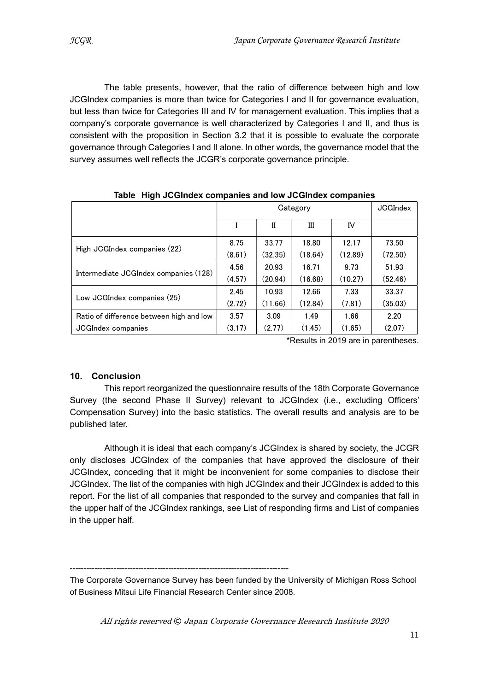The table presents, however, that the ratio of difference between high and low JCGIndex companies is more than twice for Categories I and II for governance evaluation, but less than twice for Categories III and IV for management evaluation. This implies that a company's corporate governance is well characterized by Categories I and II, and thus is consistent with the proposition in Section 3.2 that it is possible to evaluate the corporate governance through Categories I and II alone. In other words, the governance model that the survey assumes well reflects the JCGR's corporate governance principle.

|                                          | Category |         |         | <b>JCGIndex</b> |         |
|------------------------------------------|----------|---------|---------|-----------------|---------|
|                                          |          | н       | Ш       | IV              |         |
| High JCGIndex companies (22)             | 8.75     | 33.77   | 18.80   | 12.17           | 73.50   |
|                                          | (8.61)   | (32.35) | (18.64) | (12.89)         | (72.50) |
|                                          | 4.56     | 20.93   | 16.71   | 9.73            | 51.93   |
| Intermediate JCGIndex companies (128)    | (4.57)   | (20.94) | (16.68) | (10.27)         | (52.46) |
|                                          | 2.45     | 10.93   | 12.66   | 7.33            | 33.37   |
| Low JCGIndex companies (25)              | (2.72)   | (11.66) | (12.84) | (7.81)          | (35.03) |
| Ratio of difference between high and low | 3.57     | 3.09    | 1.49    | 1.66            | 2.20    |
| <b>JCGIndex companies</b>                | (3.17)   | (2.77)  | (1.45)  | (1.65)          | (2.07)  |

Table High JCGIndex companies and low JCGIndex companies

\*Results in 2019 are in parentheses.

#### 10. Conclusion

This report reorganized the questionnaire results of the 18th Corporate Governance Survey (the second Phase II Survey) relevant to JCGIndex (i.e., excluding Officers' Compensation Survey) into the basic statistics. The overall results and analysis are to be published later.

Although it is ideal that each company's JCGIndex is shared by society, the JCGR only discloses JCGIndex of the companies that have approved the disclosure of their JCGIndex, conceding that it might be inconvenient for some companies to disclose their JCGIndex. The list of the companies with high JCGIndex and their JCGIndex is added to this report. For the list of all companies that responded to the survey and companies that fall in the upper half of the JCGIndex rankings, see List of responding firms and List of companies in the upper half.

--------------------------------------------------------------------------------

The Corporate Governance Survey has been funded by the University of Michigan Ross School of Business Mitsui Life Financial Research Center since 2008.